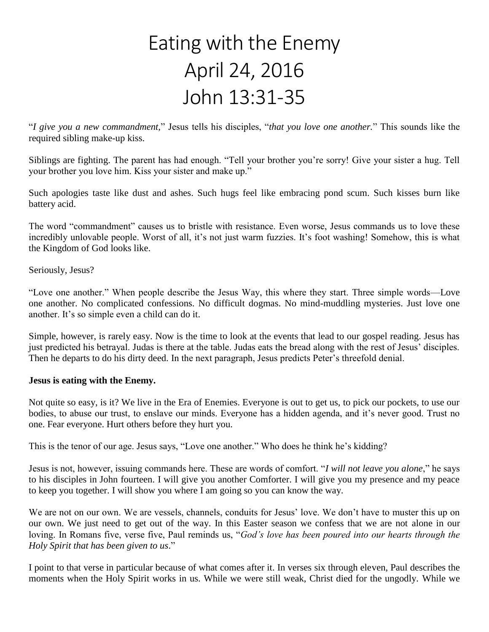## Eating with the Enemy April 24, 2016 John 13:31-35

"*I give you a new commandment,*" Jesus tells his disciples, "*that you love one another.*" This sounds like the required sibling make-up kiss.

Siblings are fighting. The parent has had enough. "Tell your brother you're sorry! Give your sister a hug. Tell your brother you love him. Kiss your sister and make up."

Such apologies taste like dust and ashes. Such hugs feel like embracing pond scum. Such kisses burn like battery acid.

The word "commandment" causes us to bristle with resistance. Even worse, Jesus commands us to love these incredibly unlovable people. Worst of all, it's not just warm fuzzies. It's foot washing! Somehow, this is what the Kingdom of God looks like.

Seriously, Jesus?

"Love one another." When people describe the Jesus Way, this where they start. Three simple words—Love one another. No complicated confessions. No difficult dogmas. No mind-muddling mysteries. Just love one another. It's so simple even a child can do it.

Simple, however, is rarely easy. Now is the time to look at the events that lead to our gospel reading. Jesus has just predicted his betrayal. Judas is there at the table. Judas eats the bread along with the rest of Jesus' disciples. Then he departs to do his dirty deed. In the next paragraph, Jesus predicts Peter's threefold denial.

## **Jesus is eating with the Enemy.**

Not quite so easy, is it? We live in the Era of Enemies. Everyone is out to get us, to pick our pockets, to use our bodies, to abuse our trust, to enslave our minds. Everyone has a hidden agenda, and it's never good. Trust no one. Fear everyone. Hurt others before they hurt you.

This is the tenor of our age. Jesus says, "Love one another." Who does he think he's kidding?

Jesus is not, however, issuing commands here. These are words of comfort. "*I will not leave you alone*," he says to his disciples in John fourteen. I will give you another Comforter. I will give you my presence and my peace to keep you together. I will show you where I am going so you can know the way.

We are not on our own. We are vessels, channels, conduits for Jesus' love. We don't have to muster this up on our own. We just need to get out of the way. In this Easter season we confess that we are not alone in our loving. In Romans five, verse five, Paul reminds us, "*God's love has been poured into our hearts through the Holy Spirit that has been given to us*."

I point to that verse in particular because of what comes after it. In verses six through eleven, Paul describes the moments when the Holy Spirit works in us. While we were still weak, Christ died for the ungodly. While we